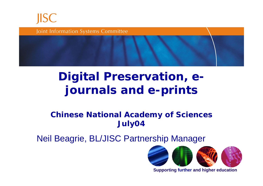

Joint Information Systems Committee

#### **Digital Preservation, ejournals and e-prints**

#### **Chinese National Academy of Sciences July04**

Neil Beagrie, BL/JISC Partnership Manager



**Supporting further and higher education**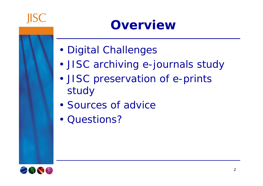

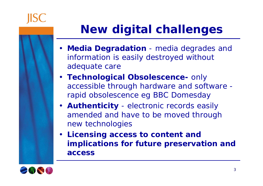

### **New digital challenges**

- **Media Degradation** media degrades and information is easily destroyed without adequate care
- **Technological Obsolescence-** only accessible through hardware and software rapid obsolescence eg BBC Domesday
- **Authenticity** electronic records easily amended and have to be moved through new technologies
- **Licensing access to content and implications for future preservation and access**

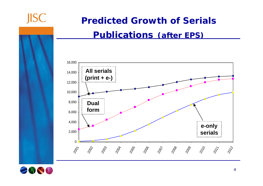

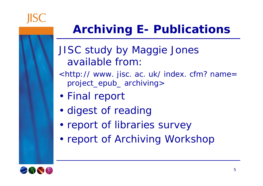

## **Archiving E- Publications**

- JISC study by Maggie Jones available from:
- <http:// www. jisc. ac. uk/ index. cfm? name= project\_epub\_ archiving>
- •Final report
- •digest of reading
- •report of libraries survey
- •report of Archiving Workshop

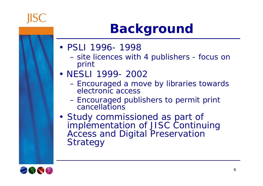# **Background**

- PSLI 1996- 1998
	- $\mathcal{L}_{\mathcal{A}}$  , and the set of  $\mathcal{L}_{\mathcal{A}}$  site licences with 4 publishers - focus on print
- NESLI 1999- 2002
	- Encouraged a move by libraries towards electronic access
	- $\mathcal{L}_{\mathcal{A}}$  , and the set of  $\mathcal{L}_{\mathcal{A}}$  Encouraged publishers to permit print cancellations
- Study commissioned as part of implementation of JISC Continuing Access and Digital Preservation **Strategy**



**IISC**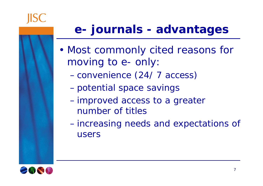### **e- journals - advantages**

- • Most commonly cited reasons for moving to e- only:
	- **Hart Committee** convenience (24/ 7 access)
	- **Hart Committee** potential space savings
	- **Hart Committee**  improved access to a greater number of titles
	- **Hart Committee**  increasing needs and expectations of users

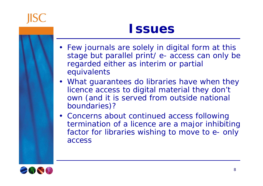

#### **Issues**

- Few journals are solely in digital form at this stage but parallel print/ e- access can only be regarded either as interim or partial equivalents
- What guarantees do libraries have when they licence access to digital material they don't own (and it is served from outside national boundaries)?
- Concerns about continued access following termination of a licence are a major inhibiting factor for libraries wishing to move to e- only access

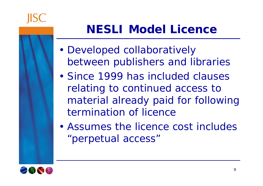

### **NESLI Model Licence**

- • Developed collaboratively between publishers and libraries
- Since 1999 has included clauses relating to continued access to material already paid for following termination of licence
- Assumes the licence cost includes "perpetual access"

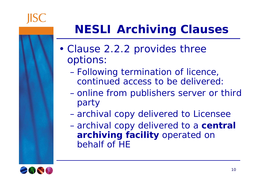

## **NESLI Archiving Clauses**

- • Clause 2.2.2 provides three options:
	- Following termination of licence, continued access to be delivered:
	- **Hart Committee**  online from publishers server or third party
	- **Hart Committee** archival copy delivered to Licensee
	- **Hart Committee**  archival copy delivered to a **central archiving facility** operated on behalf of HE

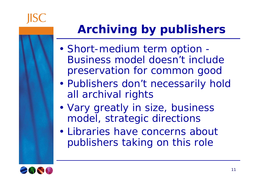

## **Archiving by publishers**

- • Short-medium term option - Business model doesn't include preservation for common good
- • Publishers don't necessarily hold all archival rights
- • Vary greatly in size, business model, strategic directions
- Libraries have concerns about publishers taking on this role

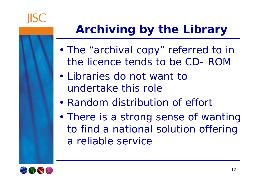

## **Archiving by the Library**

- • The "archival copy" referred to in the licence tends to be CD- ROM
- Libraries do not want to undertake this role
- Random distribution of effort
- • There is a strong sense of wanting to find a national solution offering a reliable service

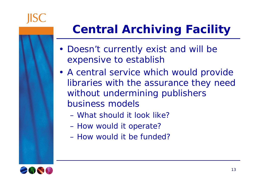

## **Central Archiving Facility**

- Doesn't currently exist and will be expensive to establish
- A central service which would provide libraries with the assurance they need without undermining publishers business models
	- What should it look like?
	- How would it operate?
	- How would it be funded?

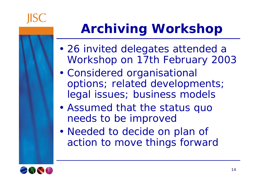

# **Archiving Workshop**

- • 26 invited delegates attended a Workshop on 17th February 2003
- • Considered organisational options; related developments; legal issues; business models
- • Assumed that the status quo needs to be improved
- Needed to decide on plan of action to move things forward

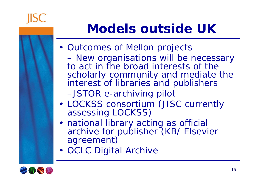

## **Models outside UK**

- Outcomes of Mellon projects
- New organisations will be necessary to act in the broad interests of the scholarly community and mediate the interest of libraries and publishers
	- –JSTOR e-archiving pilot
- •LOCKSS consortium (JISC currently assessing LOCKSS)
- · national library acting as official archive for publisher (KB/ Elsevier agreement)
- OCLC Digital Archive

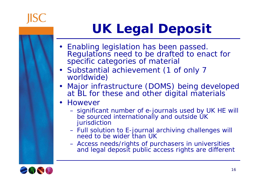

# **UK Legal Deposit**

- Enabling legislation has been passed. Regulations need to be drafted to enact for specific categories of material
- Substantial achievement (1 of only 7 worldwide)
- Major infrastructure (DOMS) being developed at BL for these and other digital materials
- • However
	- significant number of e-journals used by UK HE will be sourced internationally and outside UK jurisdiction
	- Full solution to E-journal archiving challenges will need to be wider than UK
	- Access needs/rights of purchasers in universities and legal deposit public access rights are different

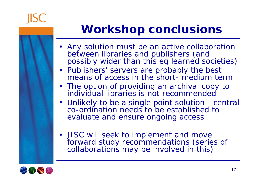

### **Workshop conclusions**

- Any solution *must* be an active collaboration between libraries and publishers (and possibly wider than this eg learned societies)
- Publishers' servers are probably the best means of access in the short- medium term
- The option of providing an archival copy to individual libraries is not recommended
- Unlikely to be a single point solution central co-ordination needs to be established to evaluate and ensure ongoing access
- JISC will seek to implement and move forward study recommendations (series of collaborations may be involved in this)

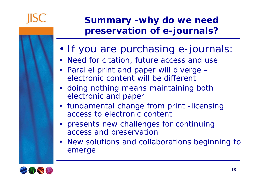

#### **Summary -why do we need preservation of e-journals?**

- •If you are purchasing e-journals:
- Need for citation, future access and use
- Parallel print and paper will diverge electronic content will be different
- doing nothing means maintaining both electronic and paper
- fundamental change from print -licensing access to electronic content
- presents new challenges for continuing access and preservation
- New solutions and collaborations beginning to emerge

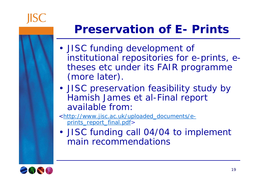

#### **Preservation of E- Prints**

- JISC funding development of institutional repositories for e-prints, etheses etc under its FAIR programme (more later).
- JISC preservation feasibility study by Hamish James et al-Final report available from:

<http://www.jisc.ac.uk/uploaded\_documents/eprints\_report\_final.pdf>

• JISC funding call 04/04 to implement main recommendations

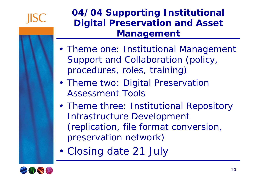

#### **04/04 Supporting Institutional Digital Preservation and Asset Management**

- Theme one: Institutional Management Support and Collaboration (policy, procedures, roles, training)
- Theme two: Digital Preservation Assessment Tools
- Theme three: Institutional Repository Infrastructure Development (replication, file format conversion, preservation network)
- •Closing date 21 July